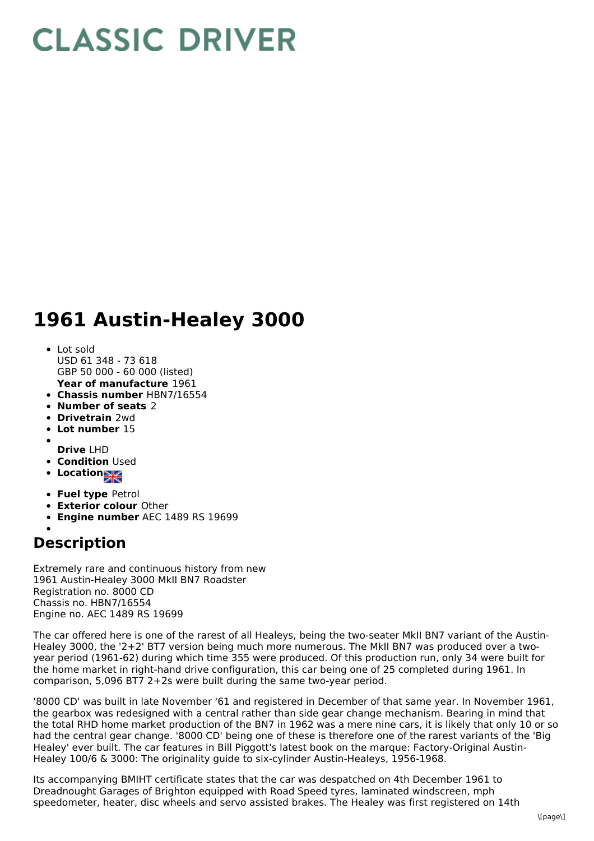## **CLASSIC DRIVER**

## **1961 Austin-Healey 3000**

- **Year of manufacture** 1961 • Lot sold USD 61 348 - 73 618 GBP 50 000 - 60 000 (listed)
- **Chassis number** HBN7/16554
- **Number of seats** 2
- **Drivetrain** 2wd
- **Lot number** 15
- 
- **Drive** LHD
- **Condition Used**
- Location<u>习</u>
- **Fuel type** Petrol
- **Exterior colour** Other
- **Engine number** AEC 1489 RS 19699
- **Description**

Extremely rare and continuous history from new 1961 Austin-Healey 3000 MkII BN7 Roadster Registration no. 8000 CD Chassis no. HBN7/16554 Engine no. AEC 1489 RS 19699

The car offered here is one of the rarest of all Healeys, being the two-seater MkII BN7 variant of the Austin-Healey 3000, the '2+2' BT7 version being much more numerous. The MkII BN7 was produced over a twoyear period (1961-62) during which time 355 were produced. Of this production run, only 34 were built for the home market in right-hand drive configuration, this car being one of 25 completed during 1961. In comparison, 5,096 BT7 2+2s were built during the same two-year period.

'8000 CD' was built in late November '61 and registered in December of that same year. In November 1961, the gearbox was redesigned with a central rather than side gear change mechanism. Bearing in mind that the total RHD home market production of the BN7 in 1962 was a mere nine cars, it is likely that only 10 or so had the central gear change. '8000 CD' being one of these is therefore one of the rarest variants of the 'Big Healey' ever built. The car features in Bill Piggott's latest book on the marque: Factory-Original Austin-Healey 100/6 & 3000: The originality guide to six-cylinder Austin-Healeys, 1956-1968.

Its accompanying BMIHT certificate states that the car was despatched on 4th December 1961 to Dreadnought Garages of Brighton equipped with Road Speed tyres, laminated windscreen, mph speedometer, heater, disc wheels and servo assisted brakes. The Healey was first registered on 14th